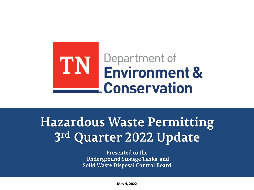

# **Hazardous Waste Permitting** 3rd Quarter 2022 Update

Presented to the **Underground Storage Tanks and** Solid Waste Disposal Control Board

**May 4, 2022**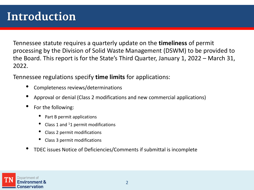# Introduction

Tennessee statute requires a quarterly update on the **timeliness** of permit processing by the Division of Solid Waste Management (DSWM) to be provided to the Board. This report is for the State's Third Quarter, January 1, 2022 – March 31, 2022.

Tennessee regulations specify **time limits** for applications:

- Completeness reviews/determinations
- Approval or denial (Class 2 modifications and new commercial applications)
- For the following:
	- Part B permit applications
	- Class 1 and  $11$  permit modifications
	- Class 2 permit modifications
	- Class 3 permit modifications
- TDEC issues Notice of Deficiencies/Comments if submittal is incomplete

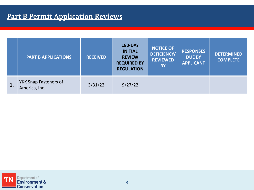### **Part B Permit Application Reviews**

|                | <b>PART B APPLICATIONS</b>                    | <b>RECEIVED</b> | <b>180-DAY</b><br><b>INITIAL</b><br><b>REVIEW</b><br><b>REQUIRED BY</b><br><b>REGULATION</b> | <b>NOTICE OF</b><br><b>DEFICIENCY/</b><br><b>REVIEWED</b><br><b>BY</b> | <b>RESPONSES</b><br><b>DUE BY</b><br><b>APPLICANT</b> | <b>DETERMINED</b><br><b>COMPLETE</b> |
|----------------|-----------------------------------------------|-----------------|----------------------------------------------------------------------------------------------|------------------------------------------------------------------------|-------------------------------------------------------|--------------------------------------|
| $\mathbf{1}$ . | <b>YKK Snap Fasteners of</b><br>America, Inc. | 3/31/22         | 9/27/22                                                                                      |                                                                        |                                                       |                                      |

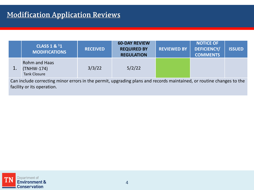### **Modification Application Reviews**

|                                                                                                                      | <b>CLASS 1 &amp; 11</b><br><b>MODIFICATIONS</b>           | <b>RECEIVED</b> | <b>60-DAY REVIEW</b><br><b>REQUIRED BY</b><br><b>REGULATION</b> | <b>REVIEWED BY</b> | <b>NOTICE OF</b><br><b>DEFICIENCY/</b><br><b>COMMENTS</b> | <b>ISSUED</b> |
|----------------------------------------------------------------------------------------------------------------------|-----------------------------------------------------------|-----------------|-----------------------------------------------------------------|--------------------|-----------------------------------------------------------|---------------|
| 1.                                                                                                                   | <b>Rohm and Haas</b><br>(TNHW-174)<br><b>Tank Closure</b> | 3/3/22          | 5/2/22                                                          |                    |                                                           |               |
| Can include correcting minor errors in the permit, upgrading plans and records maintained, or routine changes to the |                                                           |                 |                                                                 |                    |                                                           |               |

facility or its operation.

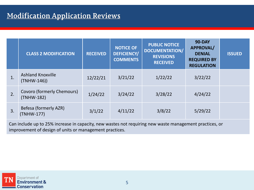#### **Modification Application Reviews**

|    | <b>CLASS 2 MODIFICATION</b>               | <b>RECEIVED</b> | <b>NOTICE OF</b><br><b>DEFICIENCY/</b><br><b>COMMENTS</b> | <b>PUBLIC NOTICE</b><br><b>DOCUMENTATION/</b><br><b>REVISIONS</b><br><b>RECEIVED</b> | <b>90-DAY</b><br><b>APPROVAL/</b><br><b>DENIAL</b><br><b>REQUIRED BY</b><br><b>REGULATION</b> | <b>ISSUED</b> |
|----|-------------------------------------------|-----------------|-----------------------------------------------------------|--------------------------------------------------------------------------------------|-----------------------------------------------------------------------------------------------|---------------|
| 1. | <b>Ashland Knoxville</b><br>$(TNHW-146))$ | 12/22/21        | 3/21/22                                                   | 1/22/22                                                                              | 3/22/22                                                                                       |               |
| 2. | Covoro (formerly Chemours)<br>(TNHW-182)  | 1/24/22         | 3/24/22                                                   | 3/28/22                                                                              | 4/24/22                                                                                       |               |
| 3. | Befesa (formerly AZR)<br>(TNHW-177)       | 3/1/22          | 4/11/22                                                   | 3/8/22                                                                               | 5/29/22                                                                                       |               |

Can include up to 25% increase in capacity, new wastes not requiring new waste management practices, or improvement of design of units or management practices.

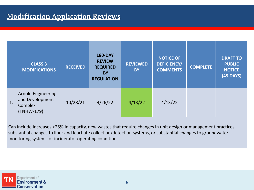#### **Modification Application Reviews**

|    | <b>CLASS 3</b><br><b>MODIFICATIONS</b>                                | <b>RECEIVED</b> | <b>180-DAY</b><br><b>REVIEW</b><br><b>REQUIRED</b><br><b>BY</b><br><b>REGULATION</b> | <b>REVIEWED</b><br><b>BY</b> | <b>NOTICE OF</b><br><b>DEFICIENCY/</b><br><b>COMMENTS</b> | <b>COMPLETE</b> | <b>DRAFT TO</b><br><b>PUBLIC</b><br><b>NOTICE</b><br><b>(45 DAYS)</b> |
|----|-----------------------------------------------------------------------|-----------------|--------------------------------------------------------------------------------------|------------------------------|-----------------------------------------------------------|-----------------|-----------------------------------------------------------------------|
| 1. | <b>Arnold Engineering</b><br>and Development<br>Complex<br>(TNHW-179) | 10/28/21        | 4/26/22                                                                              | 4/13/22                      | 4/13/22                                                   |                 |                                                                       |

Can include increases >25% in capacity, new wastes that require changes in unit design or management practices, substantial changes to liner and leachate collection/detection systems, or substantial changes to groundwater monitoring systems or incinerator operating conditions.